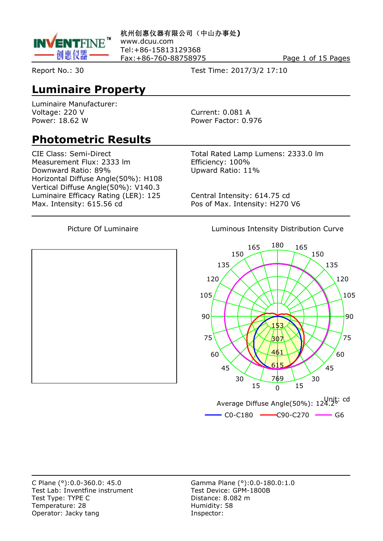

**杭州创惠仪器有限公司(中山办事处)** www.dcuu.com Tel:+86-15813129368 Fax: +86-760-88758975 Page 1 of 15 Pages

Report No.: 30 Test Time: 2017/3/2 17:10

#### **Luminaire Property**

Luminaire Manufacturer: Voltage: 220 V Current: 0.081 A Power: 18.62 W Power Factor: 0.976

#### **Photometric Results**

Measurement Flux: 2333 lm<br>
Downward Ratio: 89%<br>
Upward Ratio: 11% Downward Ratio: 89% Horizontal Diffuse Angle(50%): H108 Vertical Diffuse Angle(50%): V140.3 Luminaire Efficacy Rating (LER): 125 Central Intensity: 614.75 cd Max. Intensity: 615.56 cd Pos of Max. Intensity: H270 V6

CIE Class: Semi-Direct Total Rated Lamp Lumens: 2333.0 lm

Picture Of Luminaire **Luminous Intensity Distribution Curve** 



Test Lab: Inventfine instrument Test Type: TYPE C<br>
Temperature: 28 degree and Distance: 8.082 m<br>
Humidity: 58 Temperature: 28 Operator: Jacky tang **Inspector:** 

C Plane (°):0.0-360.0: 45.0<br>
Test Lab: Inventfine instrument<br>
Test Device: GPM-1800B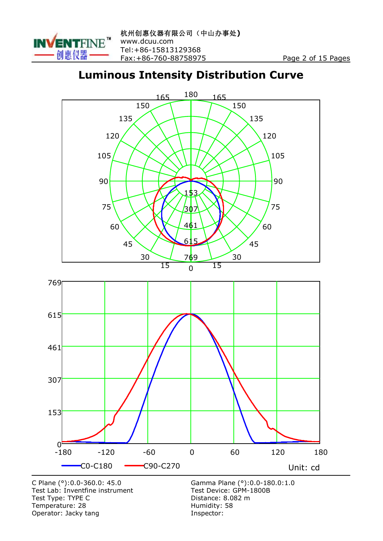

#### **Luminous Intensity Distribution Curve**



C Plane  $(°)$ : 0.0-360.0: 45.0<br>Test Lab: Inventfine instrument Test Type: TYPE C<br>
Temperature: 28 Manuscriptus Communicative: 58 Manuscriptus Communicative: 58 Temperature: 28 Humidity: 588 Humidity: 588 Humidity: 588 Humidity: 588 Humidity: Operator: Jacky tang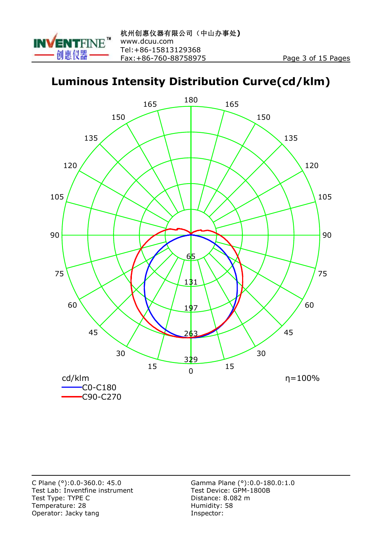

#### **Luminous Intensity Distribution Curve(cd/klm)**

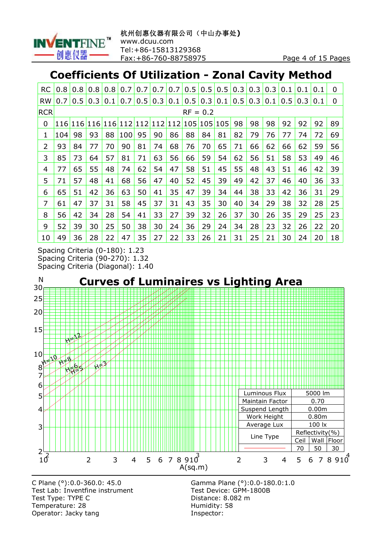

#### **Coefficients Of Utilization - Zonal Cavity Method**

| RC         | 0.8        | 0.8           | 0.8        | 0.8 | 0.7 | 0.7     | 0.7 | 0.7 | 0.5 | 0.5               | 0.5 | 0.3 | 0.3 | 0.3 | 0.1           | 0.1 | 0.1 | 0  |
|------------|------------|---------------|------------|-----|-----|---------|-----|-----|-----|-------------------|-----|-----|-----|-----|---------------|-----|-----|----|
| <b>RW</b>  | 0.7        | $0.5^{\circ}$ | 0.3        | 0.1 | 0.7 | 0.5     | 0.3 | 0.1 | 0.5 | $\vert 0.3 \vert$ | 0.1 | 0.5 | 0.3 | 0.1 | $0.5^{\circ}$ | 0.3 | 0.1 | 0  |
| <b>RCR</b> | $RF = 0.2$ |               |            |     |     |         |     |     |     |                   |     |     |     |     |               |     |     |    |
| 0          | <b>116</b> | 116           | <b>116</b> | 116 |     | 112 112 | 112 | 112 | 105 | 105               | 105 | 98  | 98  | 98  | 92            | 92  | 92  | 89 |
| 1          | 104        | 98            | 93         | 88  | 100 | 95      | 90  | 86  | 88  | 84                | 81  | 82  | 79  | 76  | 77            | 74  | 72  | 69 |
| 2          | 93         | 84            | 77         | 70  | 90  | 81      | 74  | 68  | 76  | 70                | 65  | 71  | 66  | 62  | 66            | 62  | 59  | 56 |
| 3          | 85         | 73            | 64         | 57  | 81  | 71      | 63  | 56  | 66  | 59                | 54  | 62  | 56  | 51  | 58            | 53  | 49  | 46 |
| 4          | 77         | 65            | 55         | 48  | 74  | 62      | 54  | 47  | 58  | 51                | 45  | 55  | 48  | 43  | 51            | 46  | 42  | 39 |
| 5          | 71         | 57            | 48         | 41  | 68  | 56      | 47  | 40  | 52  | 45                | 39  | 49  | 42  | 37  | 46            | 40  | 36  | 33 |
| 6          | 65         | 51            | 42         | 36  | 63  | 50      | 41  | 35  | 47  | 39                | 34  | 44  | 38  | 33  | 42            | 36  | 31  | 29 |
| 7          | 61         | 47            | 37         | 31  | 58  | 45      | 37  | 31  | 43  | 35                | 30  | 40  | 34  | 29  | 38            | 32  | 28  | 25 |
| 8          | 56         | 42            | 34         | 28  | 54  | 41      | 33  | 27  | 39  | 32                | 26  | 37  | 30  | 26  | 35            | 29  | 25  | 23 |
| 9          | 52         | 39            | 30         | 25  | 50  | 38      | 30  | 24  | 36  | 29                | 24  | 34  | 28  | 23  | 32            | 26  | 22  | 20 |
| 10         | 49         | 36            | 28         | 22  | 47  | 35      | 27  | 22  | 33  | 26                | 21  | 31  | 25  | 21  | 30            | 24  | 20  | 18 |

Spacing Criteria (0-180): 1.23 Spacing Criteria (90-270): 1.32 Spacing Criteria (Diagonal): 1.40



Test Lab: Inventfine instrument Test Type: TYPE C<br>
Temperature: 28 degree and Distance: 8.082 m<br>
Humidity: 58 Temperature: 28 Operator: Jacky tang **Inspector:** 

C Plane (°):0.0-360.0: 45.0<br>
Test Lab: Inventfine instrument<br>
Test Device: GPM-1800B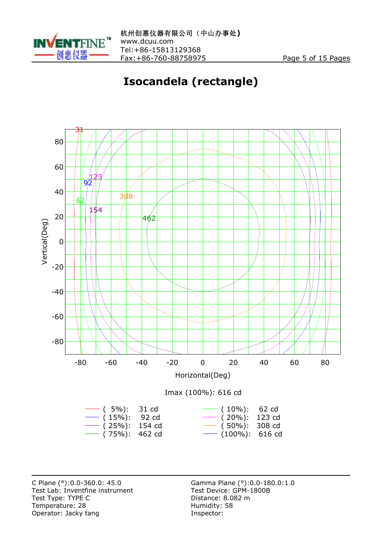

## **Isocandela (rectangle)**



C Plane (°):0.0-360.0: 45.0 <br>
Test Lab: Inventfine instrument Test Device: GPM-1800B Test Lab: Inventfine instrument Test Type: TYPE C<br>
Temperature: 28 March 28 Humidity: 58 Temperature: 28 Humidity:<br>
Operator: Jacky tang Operator: Jacky tang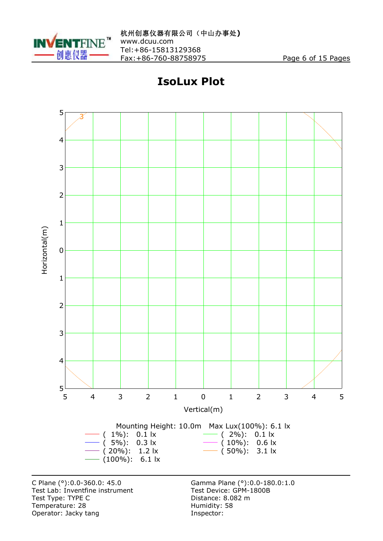

### **IsoLux Plot**



C Plane (°):0.0-360.0: 45.0 <br>
Test Lab: Inventfine instrument Test Device: GPM-1800B Test Lab: Inventfine instrument Test Type: TYPE C<br>
Temperature: 28 degree and Distance: 8.082 m<br>
Humidity: 58 Temperature: 28 Humidity:<br>
Operator: Jacky tang Operator: Jacky tang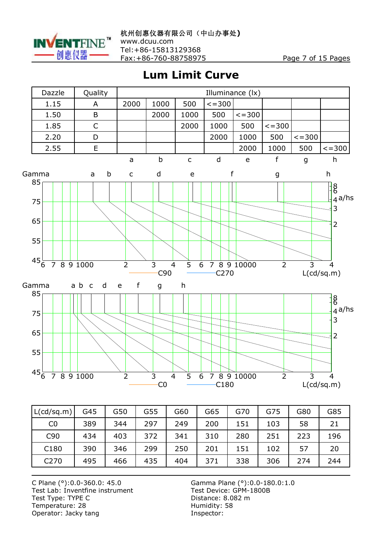

**Lum Limit Curve**



| L(cd/sq.m)      | G45 | G50 | G55 | G60 | G65 | G70 | G75 | G80 | G85 |
|-----------------|-----|-----|-----|-----|-----|-----|-----|-----|-----|
| CO              | 389 | 344 | 297 | 249 | 200 | 151 | 103 | 58  | 21  |
| C <sub>90</sub> | 434 | 403 | 372 | 341 | 310 | 280 | 251 | 223 | 196 |
| C180            | 390 | 346 | 299 | 250 | 201 | 151 | 102 | 57  | 20  |
| C270            | 495 | 466 | 435 | 404 | 371 | 338 | 306 | 274 | 244 |

C Plane (°):0.0-360.0: 45.0<br>
Test Lab: Inventfine instrument Test Device: GPM-1800B Test Lab: Inventfine instrument Test Type: TYPE C<br>
Temperature: 28 March 28 Humidity: 58 Temperature: 28 Humidity:<br>
Operator: Jacky tang Operator: Jacky tang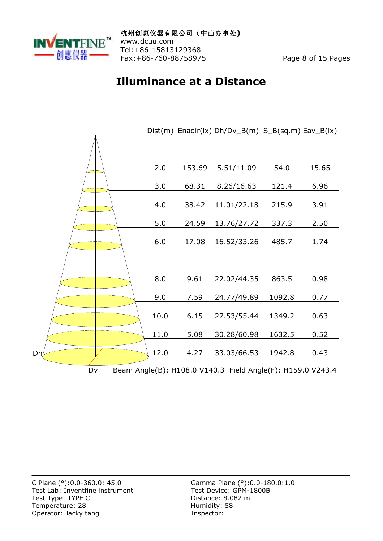

#### **Illuminance at a Distance**

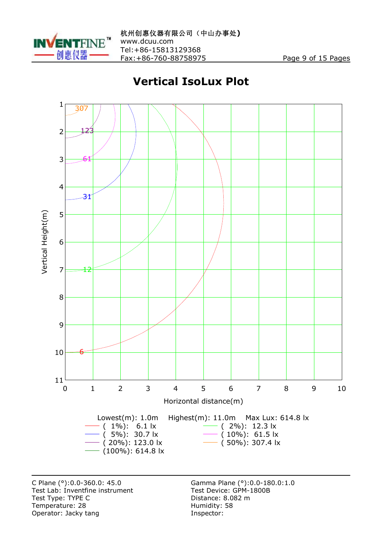

#### **Vertical IsoLux Plot**



C Plane (°):0.0-360.0: 45.0 <br>
Test Lab: Inventfine instrument Test Device: GPM-1800B Test Lab: Inventfine instrument Test Type: TYPE C<br>
Temperature: 28 March 28 Humidity: 58 Temperature: 28 Humidity:<br>
Operator: Jacky tang Operator: Jacky tang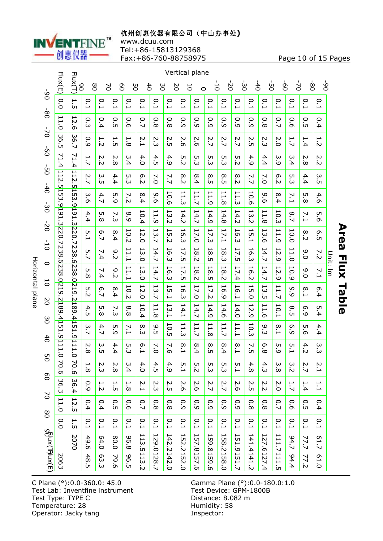

#### **杭州创惠仪器有限公司(中山办事处)**

www.dcuu.com

Tel:+86-15813129368

Fax:+86-760-88758975 Page 10 of 15 Pages

|                  |                        | Flux(E)                                | Flux(T)<br>80                     | 80              | $\geq$                             | 80              | 9G                                         | $\frac{4}{1}$    | ပ္ပ                                                        | 2O            | Vertical plane<br>$\overline{0}$   | $\circ$                                        | $\overline{0}$                  | $\overline{0}$                                  | $\overline{6}$                                             | $\frac{4}{5}$                                  | ġ                   | $\overline{0}$                                   | $\sum$                          | $\overline{8}$                 | ف<br>0                         |                |
|------------------|------------------------|----------------------------------------|-----------------------------------|-----------------|------------------------------------|-----------------|--------------------------------------------|------------------|------------------------------------------------------------|---------------|------------------------------------|------------------------------------------------|---------------------------------|-------------------------------------------------|------------------------------------------------------------|------------------------------------------------|---------------------|--------------------------------------------------|---------------------------------|--------------------------------|--------------------------------|----------------|
|                  | -90                    | $\overline{0}$                         | 1.5                               | 0.1             | $\frac{0}{1}$                      | 0.1             | 0.1                                        | $\frac{0}{1}$    | $\frac{0}{1}$                                              | $\frac{0}{1}$ | $\frac{0}{1}$                      | 0.1                                            | 0.1                             | 0.1                                             | 0.1                                                        | 0.1                                            | $\frac{0}{1}$       | $\frac{0}{1}$                                    | 0.1                             | $\frac{0}{1}$                  | $\frac{0}{1}$                  |                |
|                  | $\overline{8}$         | $\overline{1}$<br>ä                    | 12.6                              | o.3             | 0.4                                | 0<br>üп         | 0.6                                        | $\overline{C}$   | $\circ$<br>$\dot{\infty}$                                  | 0.8           | 0.9                                | $\overline{6}$                                 | 0.9                             | 0.9                                             | $\overline{6}$                                             | $\overline{6}$ :0                              | $\frac{0}{8}$       | $\overline{C}$                                   | 0.6                             | О.<br>С                        | 0.4                            |                |
|                  | $2-$                   | 36<br>üп                               | 36.7                              | 0.9             | $\overline{\phantom{a}}$<br>.<br>N | ⊢<br>UП         | $\overline{\phantom{a}}$<br>.<br>∞         | N<br><u>ب</u>    | N<br>سة                                                    | N<br>üп       | $\sim$<br>ö                        | 2.6                                            | 2.7                             | 2.7                                             | 2.7                                                        | N<br>üп                                        | N<br>س              | N<br>ö                                           | 1.7                             | $\overline{\phantom{0}}$<br>4. | 1.2                            |                |
|                  | $\overline{0}$         | ↘<br>۳<br>.<br>4                       | ↘<br>۳<br>$\overline{\mathbf{4}}$ | 1.7             | N<br>.<br>N                        | N<br>$\infty$   | ω<br>∔                                     | 4.0              | 4.<br>üп                                                   | 4.9           | UП<br>$\sim$                       | UП<br>س                                        | ς<br>ω                          | UП<br>س                                         | UП<br>.<br>N                                               | 4.9                                            | 4.4                 | ω<br>مَ                                          | ω<br>$\mathbf{4}$               | N<br>$\infty$                  | N<br>.<br>N                    |                |
|                  | $\overline{50}$        | $\frac{11}{2}$                         | $ 112\rangle$<br><u>іл</u>        | 2.7             | ب<br>ūп                            | 4.4             | ŗņ<br>س                                    | 6.2              | $\geq$                                                     | 7.7           | 8.2                                | $\infty$<br>$\dot{4}$                          | $\infty$<br>üп                  | $\infty$<br>ÜП                                  | 8.2                                                        | 7.7                                            | $\overline{7.0}$    | 6.2                                              | г.<br>З                         | 4.4                            | ω<br>UП                        |                |
|                  | $-40$                  | $\overline{5}$<br>نبَ<br>.<br><u>ن</u> | $\overline{5}$<br>نب<br><u>ت</u>  | 3.6             | 4.7                                | UП<br>قَ        | ↘<br>$\dot{\sim}$                          | ∞<br>4           | ە.<br>Ō                                                    | 10.6          | ⊢<br>⊢<br>ω                        | ⊢<br>1.7                                       | ⊢<br>.<br>ت                     | ⊢<br>$\overline{\phantom{a}}$<br>$\infty$       | ⊢<br>$\overline{\phantom{0}}$<br>ω                         | 10.6                                           | ە.<br>Ō             | $\infty$<br>4                                    | 7.1                             | UП<br>$\infty$                 | 4.<br>$\sigma$                 |                |
|                  | ပ္ပံ<br>$\overline{0}$ | $\overline{161}$                       | I6I<br><u>س</u>                   | 4.4             | ப<br>$\infty$                      | 7.3             | 8.9                                        | 10.4             | $\overline{\phantom{0}}$<br>$\overline{\phantom{0}}$<br>مَ | 13.2          | L<br>4.2                           | $\overline{\phantom{a}}$<br>4.7                | $\overline{\phantom{0}}$<br>4.9 | $\overline{\phantom{0}}$<br>4.8                 | $\overline{\phantom{0}}$<br>4.2                            | $\overline{\phantom{a}}$<br>$\omega$<br>$\sim$ | $\overline{1}$<br>∞ | ⊢<br>$\circ$<br>سٺ                               | 8.7                             | $\sim 1$                       | UТ<br>$\sigma$                 |                |
| $\overline{10}$  |                        | .3220.7238.62                          | 220.<br><u>ب</u><br>ا             | 5.1             | 6.7                                | 8.4             | 10.2                                       | 12.<br>்         | ⊢<br>$\omega$<br>$\ddot{ }$                                | 15.2          | 50<br>سَ                           | 17.0                                           | 17.3                            | 17.1                                            | ⊢<br>Ō<br>سآ                                               | $\overline{\phantom{a}}$<br>$\frac{5}{1}$      | ⊢<br>ω<br>Ō         | $\blacksquare$<br>$\overline{\phantom{a}}$<br>مَ | 10.0                            | 8.2                            | ō<br>ūп                        |                |
|                  | 0                      |                                        | 238                               | 5.7             | 7.4                                | م.<br>$\bar{N}$ | $\overline{\phantom{0}}$<br>بز<br>1        | H<br>3.0         | $\overline{\phantom{0}}$<br>4.7                            | 16.3          | 17.5                               | $\overline{\phantom{0}}$<br>$\infty$<br>$\sim$ | I<br>$\infty$<br>üп             | $\overline{\phantom{0}}$<br>${}^{\circ}$<br>س   | $\overline{\phantom{0}}$<br>$\overline{\mathcal{L}}$<br>üп | $\overline{\phantom{a}}$<br>6.3                | ⊢<br>4.7            | $\overline{c}$<br>ە:                             | $\overline{\phantom{0}}$<br>1.0 | 9.0                            | 7.2                            | Unit:          |
|                  | 5                      | ω                                      | .6238.<br><u>0</u>                | UП<br>$\infty$  | ↘<br>4                             | 9.2             | 11.1                                       | 13.0             | 14.7                                                       | 16.3          | 17<br>üп                           | $\overline{8}$<br>$\sim$                       | 18.5                            | 18.2                                            | $\overline{a}$<br>∔.                                       | 16.2                                           | 14.7                | $\overline{c}$<br>مأ                             | 10.9                            | 9.0                            | $\overline{1}$                 | $\overline{a}$ |
| Horizontal plane | $\overline{0}$         | 8.0219                                 | 219.<br>$\overline{\mathsf{C}}$   | UП<br>$\sim$    | თ<br>$\ddot{\sim}$                 | 8.4             | 10.2                                       | 12.0             | 53<br>$\ddot{ }$                                           | 15.1          | 50<br>ω                            | 17.0                                           | 17.2                            | 56<br>مَ                                        | 16.<br>$\overline{\phantom{0}}$                            | 15.0                                           | 5<br>üп             | $\overline{1}$<br>$\ddot{ }$                     | 0<br>ە:                         | $\infty$<br>Ē                  | თ<br>4                         |                |
|                  | ပ္ပ                    | .2189.<br><u>ٰ 4</u>                   | $\overline{58}$                   | 4.5             | UП<br>.<br>∞                       | 7.3             | $\infty$<br>.<br>∞                         | 10.4             | $\overline{11}$<br>$\infty$                                | 13.1          | 14.1                               | 14.7                                           | 14.9                            | 14.6                                            | 14.0                                                       | 12.9                                           | 11.6                | 10.1                                             | $\infty$<br>üп                  | თ<br>م:                        | UП<br>$\dot{4}$                |                |
|                  | $\ddot{\sigma}$        | 55<br>⊢<br><u>ن</u>                    | 9.4151.<br><u>نه</u>              | ω<br>$\ddot{ }$ | 4.7                                | UТ<br>ە:        | $\overline{7.1}$                           | $\infty$<br>سة   | O<br>üп                                                    | 10.5          | $\overline{\phantom{0}}$<br>H<br>ω | $\overline{\phantom{a}}$<br>1.7                | ⊢<br>۳.<br>$\infty$             | $\overline{\phantom{0}}$<br>۳<br>$\overline{ }$ | $\overline{\phantom{0}}$<br>1.1                            | 10.3                                           | ە.<br>ω             | $\infty$<br>⊶                                    | G<br>نَ                         | UЛ<br>ö                        | 4.4                            |                |
|                  | UП                     | 111.0                                  | 111.0                             | N<br>.<br>∞     | ς:                                 | 4.4             | ς.<br>ω                                    | 6.1              | $\geq$                                                     | 7.6           | $\frac{8}{1}$                      | 8.4                                            | 8.<br>С                         | 8.4                                             | 8.1                                                        | 7.5                                            | ō<br>.<br>∞         | UП<br>مَ                                         | $\frac{5}{1}$                   | 4.2                            | ς<br>Ω                         |                |
|                  | 0<br>80                | 70.6                                   | 70.6                              | ⊢<br>$\infty$   | N<br>.<br>س                        | N<br>$\infty$   | 3.4                                        | 4.0              | 4.5                                                        | 4.9           | ப<br>⊢                             | UП<br>$\sim$                                   | UП<br>ن                         | UТ<br>.<br>س                                    | ŗч<br>$\overline{\phantom{0}}$                             | 4.8                                            | 4.3                 | ω<br>$\infty$                                    | 3.2                             | 2.7                            | Ņ.<br>$\overline{\phantom{0}}$ |                |
|                  | $\geq$                 | ω<br>ō.<br>ω                           | ω<br>6.4                          | 0.9             | ⊢<br>$\dot{\sim}$                  | 1.5             | $\overline{\phantom{0}}$<br>$\dot{\infty}$ | 2.1              | 2.3                                                        | 2.5           | 2.6                                | 2.6                                            | 2.7                             | 2.7                                             | 2.6                                                        | 2.5                                            | 2.2                 | Σ.O                                              | 1.7                             | 1.4                            | $\frac{1}{1}$                  |                |
|                  | 80                     | ⊢<br>1.0                               | $\overline{2}$<br>üп              | Ο.<br>4         | 0.4                                | О.<br>Б         | 0.6                                        | 0.7              | 0.8                                                        | 0.8           | $\overline{6}$                     | 0.9                                            | 0.9                             | 0.9                                             | 0.9                                                        | 0.8                                            | 0.8                 | 0.7                                              | 0.6                             | 0.5                            | Ο.<br>$\overline{\mathbf{4}}$  |                |
|                  |                        | $\overline{0}$                         | 1.5                               | 0.1             | 0.1                                | 0.1             | 0.1                                        | 0.1              | 0.1                                                        | 0.1           | 0.1                                | 0.1                                            | 0.1                             | 0.1                                             | 0.1                                                        | 0.1                                            | 0.1                 | 0.1                                              | 0.1                             | 0.1                            | 0.1                            |                |
|                  | ggux(Thux(E            |                                        | 2070                              | 49.6            | 64.0                               | 0.08            | 8.88                                       | 113<br><u>in</u> | 129.0128.7                                                 | 142.2142.0    | $\overline{152}$                   | 157                                            | $ 159$ .                        | <b>I</b> 58                                     | 151                                                        | 141.4141.2                                     | <b>127</b>          | 111.7                                            | 94.7                            | 77.7                           | E1.7                           |                |
|                  |                        | 2063                                   |                                   | 48.5            | 63.3                               | 79.6            | <b>96.5</b>                                | 113.2            |                                                            |               | 2152.0                             | 8157.6                                         | 8159.6                          | 2158.0                                          | .151.7                                                     |                                                | 6127.4              | 1111.5                                           | 4.4                             | 77.2                           | 61.0                           |                |

C Plane (°):0.0-360.0: 45.0 <br>
Test Lab: Inventfine instrument Test Device: GPM-1<br>
Test Type: TYPE C Distance: 8.082 m Test Type: TYPE C<br>
Temperature: 28<br>
Temperature: 28<br>
Distance: 8.08 Temperature: 28 Humidity:<br>
Operator: Jacky tang<br>
State of the Superville Superville Superville Superville Superville Superville Superville Operator: Jacky tang

Gamma Plane (°): 0.0-180.0: 1.0<br>Test Device: GPM-1800B

# **Area Flux Table Area Flux Table**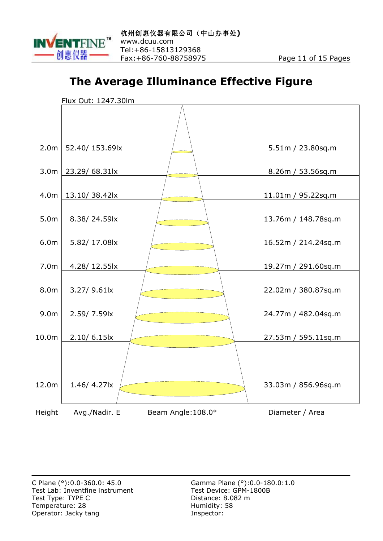

#### **The Average Illuminance Effective Figure**

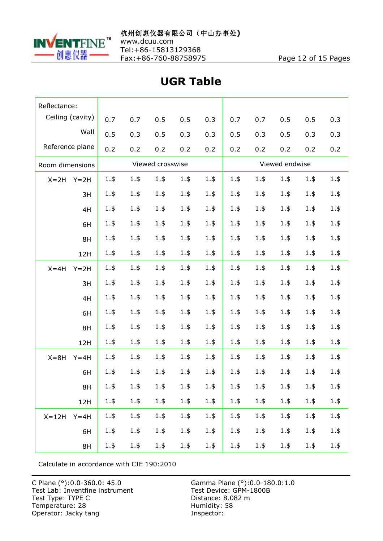

Tel:+86-15813129368

| Reflectance:          |         |         |                  |         |         |                |         |         |         |         |  |  |
|-----------------------|---------|---------|------------------|---------|---------|----------------|---------|---------|---------|---------|--|--|
| Ceiling (cavity)      | 0.7     | 0.7     | 0.5              | 0.5     | 0.3     | 0.7            | 0.7     | 0.5     | 0.5     | 0.3     |  |  |
| Wall                  | 0.5     | 0.3     | 0.5              | 0.3     | 0.3     | 0.5            | 0.3     | 0.5     | 0.3     | 0.3     |  |  |
| Reference plane       | 0.2     | 0.2     | 0.2              | 0.2     | 0.2     | 0.2            | 0.2     | 0.2     | 0.2     | 0.2     |  |  |
| Room dimensions       |         |         | Viewed crosswise |         |         | Viewed endwise |         |         |         |         |  |  |
| $X = 2H$<br>$Y = 2H$  | 1.5     | 1.5     | 1.5              | 1.5     | 1.5     | 1.5            | 1.5     | 1.5     | 1.5     | 1.5     |  |  |
| 3H                    | 1.5     | 1.5     | 1.5              | 1.5     | 1.5     | 1.5            | 1.5     | 1.5     | 1.5     | $1.$ \$ |  |  |
| 4H                    | $1.$ \$ | 1.5     | 1.5              | 1.5     | 1.5     | 1.5            | 1.5     | 1.5     | 1.5     | $1.$ \$ |  |  |
| 6H                    | $1.$ \$ | 1.5     | 1.5              | 1.5     | 1.5     | 1.5            | 1.5     | 1.5     | 1.5     | $1.$ \$ |  |  |
| 8H                    | $1.$ \$ | 1.5     | 1.5              | 1.5     | 1.5     | 1.5            | 1.5     | 1.5     | 1.5     | 1.5     |  |  |
| 12H                   | $1.$ \$ | 1.5     | 1.5              | 1.5     | 1.5     | 1.5            | 1.5     | 1.5     | 1.5     | 1.5     |  |  |
| $X = 4H$<br>$Y = 2H$  | 1.5     | 1.5     | 1.5              | 1.5     | 1.5     | 1.5            | 1.5     | 1.5     | 1.5     | 1.5     |  |  |
| 3H                    | $1.$ \$ | 1.5     | 1.5              | 1.5     | 1.5     | 1.5            | 1.5     | 1.5     | 1.5     | 1.5     |  |  |
| 4H                    | 1.5     | $1.$ \$ | 1.5              | 1.5     | 1.5     | 1.5            | 1.5     | 1.5     | 1.5     | 1.5     |  |  |
| 6H                    | 1.5     | 1.5     | 1.5              | 1.5     | 1.5     | 1.5            | 1.5     | 1.5     | 1.5     | $1.$ \$ |  |  |
| 8H                    | 1.5     | 1.5     | 1.5              | 1.5     | 1.5     | 1.5            | 1.5     | 1.5     | 1.5     | 1.5     |  |  |
| 12H                   | $1.$ \$ | 1.5     | 1.5              | 1.5     | 1.5     | 1.5            | 1.5     | 1.5     | 1.5     | 1.5     |  |  |
| $X = 8H$<br>$Y = 4H$  | 1.5     | 1.5     | 1.5              | 1.5     | 1.5     | 1.5            | 1.5     | 1.5     | 1.5     | 1.5     |  |  |
| 6H                    | 1.5     | 1.5     | 1.5              | 1.5     | 1.5     | 1.5            | $1.$ \$ | 1.5     | 1.5     | 1.5     |  |  |
| 8H                    | $1.$ \$ | $1.$ \$ | $1.$ \$          | 1.5     | $1.$ \$ | $1.$ \$        | $1.$ \$ | $1.$ \$ | $1.$ \$ | $1.$ \$ |  |  |
| 12H                   | $1.$ \$ | $1.$ \$ | $1.$ \$          | $1.$ \$ | $1.$ \$ | $1.$ \$        | $1.$ \$ | $1.$ \$ | $1.$ \$ | $1.$ \$ |  |  |
| $X = 12H$<br>$Y = 4H$ | $1.$ \$ | 1.5     | $1.$ \$          | $1.$ \$ | $1.$ \$ | $1.$ \$        | $1.$ \$ | $1.$ \$ | 1.5     | $1.$ \$ |  |  |
| 6H                    | $1.$ \$ | 1.5     | $1.$ \$          | $1.$ \$ | $1.$ \$ | 1.5            | $1.$ \$ | $1.$ \$ | $1.$ \$ | $1.$ \$ |  |  |
| 8H                    | $1.$ \$ | $1.$ \$ | $1.$ \$          | $1.$ \$ | $1.$ \$ | $1.$ \$        | $1.$ \$ | $1.$ \$ | $1.$ \$ | $1.$ \$ |  |  |

#### **UGR Table**

Calculate in accordance with CIE 190:2010

C Plane (°):0.0-360.0: 45.0<br>Test Lab: Inventfine instrument<br>Test Type: TYPE C Temperature: 28 Humidity:<br>
Operator: Jacky tang<br>
State of the Superville Superville Superville Superville Superville Superville Superville Operator: Jacky tang

Gamma Plane (°): 0.0-180.0: 1.0<br>Test Device: GPM-1800B Distance: 8.082 m<br>Humidity: 58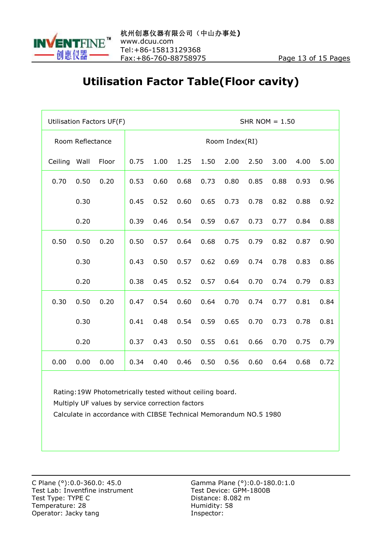

#### **Utilisation Factor Table(Floor cavity)**

|         |                  | Utilisation Factors UF(F) |                |      |      | SHR NOM $= 1.50$ |      |      |      |      |      |  |  |  |
|---------|------------------|---------------------------|----------------|------|------|------------------|------|------|------|------|------|--|--|--|
|         | Room Reflectance |                           | Room Index(RI) |      |      |                  |      |      |      |      |      |  |  |  |
| Ceiling | Wall             | Floor                     | 0.75           | 1.00 | 1.25 | 1.50             | 2.00 | 2.50 | 3.00 | 4.00 | 5.00 |  |  |  |
| 0.70    | 0.50             | 0.20                      | 0.53           | 0.60 | 0.68 | 0.73             | 0.80 | 0.85 | 0.88 | 0.93 | 0.96 |  |  |  |
|         | 0.30             |                           | 0.45           | 0.52 | 0.60 | 0.65             | 0.73 | 0.78 | 0.82 | 0.88 | 0.92 |  |  |  |
|         | 0.20             |                           | 0.39           | 0.46 | 0.54 | 0.59             | 0.67 | 0.73 | 0.77 | 0.84 | 0.88 |  |  |  |
| 0.50    | 0.50             | 0.20                      | 0.50           | 0.57 | 0.64 | 0.68             | 0.75 | 0.79 | 0.82 | 0.87 | 0.90 |  |  |  |
|         | 0.30             |                           | 0.43           | 0.50 | 0.57 | 0.62             | 0.69 | 0.74 | 0.78 | 0.83 | 0.86 |  |  |  |
|         | 0.20             |                           | 0.38           | 0.45 | 0.52 | 0.57             | 0.64 | 0.70 | 0.74 | 0.79 | 0.83 |  |  |  |
| 0.30    | 0.50             | 0.20                      | 0.47           | 0.54 | 0.60 | 0.64             | 0.70 | 0.74 | 0.77 | 0.81 | 0.84 |  |  |  |
|         | 0.30             |                           | 0.41           | 0.48 | 0.54 | 0.59             | 0.65 | 0.70 | 0.73 | 0.78 | 0.81 |  |  |  |
|         | 0.20             |                           | 0.37           | 0.43 | 0.50 | 0.55             | 0.61 | 0.66 | 0.70 | 0.75 | 0.79 |  |  |  |
| 0.00    | 0.00             | 0.00                      | 0.34           | 0.40 | 0.46 | 0.50             | 0.56 | 0.60 | 0.64 | 0.68 | 0.72 |  |  |  |

Rating:19W Photometrically tested without ceiling board.

Multiply UF values by service correction factors

Calculate in accordance with CIBSE Technical Memorandum NO.5 1980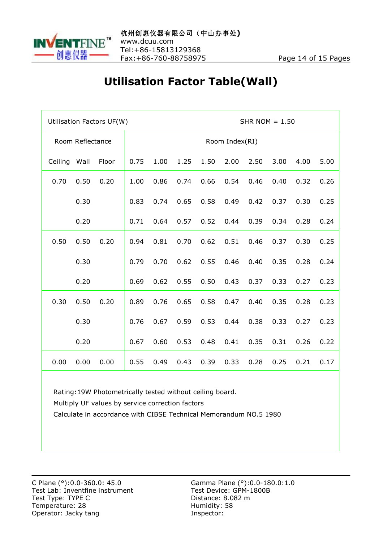

#### **Utilisation Factor Table(Wall)**

|         |                  | Utilisation Factors UF(W) |                | SHR NOM $= 1.50$ |      |      |      |      |      |      |      |  |  |  |
|---------|------------------|---------------------------|----------------|------------------|------|------|------|------|------|------|------|--|--|--|
|         | Room Reflectance |                           | Room Index(RI) |                  |      |      |      |      |      |      |      |  |  |  |
| Ceiling | Wall             | Floor                     | 0.75           | 1.00             | 1.25 | 1.50 | 2.00 | 2.50 | 3.00 | 4.00 | 5.00 |  |  |  |
| 0.70    | 0.50             | 0.20                      | 1.00           | 0.86             | 0.74 | 0.66 | 0.54 | 0.46 | 0.40 | 0.32 | 0.26 |  |  |  |
|         | 0.30             |                           | 0.83           | 0.74             | 0.65 | 0.58 | 0.49 | 0.42 | 0.37 | 0.30 | 0.25 |  |  |  |
|         | 0.20             |                           | 0.71           | 0.64             | 0.57 | 0.52 | 0.44 | 0.39 | 0.34 | 0.28 | 0.24 |  |  |  |
| 0.50    | 0.50             | 0.20                      | 0.94           | 0.81             | 0.70 | 0.62 | 0.51 | 0.46 | 0.37 | 0.30 | 0.25 |  |  |  |
|         | 0.30             |                           | 0.79           | 0.70             | 0.62 | 0.55 | 0.46 | 0.40 | 0.35 | 0.28 | 0.24 |  |  |  |
|         | 0.20             |                           | 0.69           | 0.62             | 0.55 | 0.50 | 0.43 | 0.37 | 0.33 | 0.27 | 0.23 |  |  |  |
| 0.30    | 0.50             | 0.20                      | 0.89           | 0.76             | 0.65 | 0.58 | 0.47 | 0.40 | 0.35 | 0.28 | 0.23 |  |  |  |
|         | 0.30             |                           | 0.76           | 0.67             | 0.59 | 0.53 | 0.44 | 0.38 | 0.33 | 0.27 | 0.23 |  |  |  |
|         | 0.20             |                           | 0.67           | 0.60             | 0.53 | 0.48 | 0.41 | 0.35 | 0.31 | 0.26 | 0.22 |  |  |  |
| 0.00    | 0.00             | 0.00                      | 0.55           | 0.49             | 0.43 | 0.39 | 0.33 | 0.28 | 0.25 | 0.21 | 0.17 |  |  |  |

Rating:19W Photometrically tested without ceiling board.

Multiply UF values by service correction factors

Calculate in accordance with CIBSE Technical Memorandum NO.5 1980